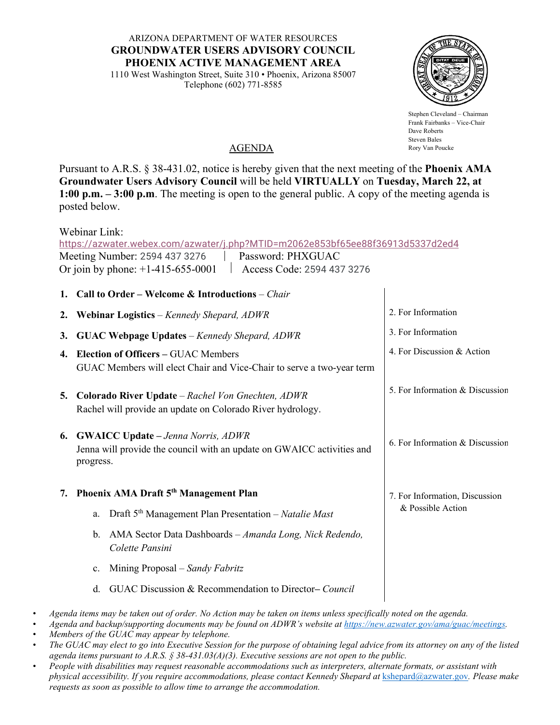ARIZONA DEPARTMENT OF WATER RESOURCES **GROUNDWATER USERS ADVISORY COUNCIL PHOENIX ACTIVE MANAGEMENT AREA**

1110 West Washington Street, Suite 310 • Phoenix, Arizona 85007 Telephone (602) 771-8585



Stephen Cleveland – Chairman Frank Fairbanks – Vice-Chair Dave Roberts Steven Bales Rory Van Poucke

## AGENDA

Pursuant to A.R.S. § 38-431.02, notice is hereby given that the next meeting of the **Phoenix AMA Groundwater Users Advisory Council** will be held **VIRTUALLY** on **Tuesday, March 22, at 1:00 p.m. – 3:00 p.m**. The meeting is open to the general public. A copy of the meeting agenda is posted below.

Webinar Link:

<https://azwater.webex.com/azwater/j.php?MTID=m2062e853bf65ee88f36913d5337d2ed4> Meeting Number: 2594 437 3276 | Password: PHXGUAC Or join by phone: +1-415-655-0001 Access Code: 2594 437 3276

## • *Agenda items may be taken out of order. No Action may be taken on items unless specifically noted on the agenda.*  **1. Call to Order – Welcome & Introductions** – *Chair* **2. Webinar Logistics** *– Kennedy Shepard, ADWR* **3. GUAC Webpage Updates** *– Kennedy Shepard, ADWR* **4. Election of Officers –** GUAC Members GUAC Members will elect Chair and Vice-Chair to serve a two-year term **5. Colorado River Update** – *Rachel Von Gnechten, ADWR* Rachel will provide an update on Colorado River hydrology. **6. GWAICC Update –** *Jenna Norris, ADWR*  Jenna will provide the council with an update on GWAICC activities and progress. **7. Phoenix AMA Draft 5th Management Plan** a. Draft 5th Management Plan Presentation – *Natalie Mast* b. AMA Sector Data Dashboards – *Amanda Long, Nick Redendo, Colette Pansini* c. Mining Proposal – *Sandy Fabritz* d. GUAC Discussion & Recommendation to Director**–** *Council* 2. For Information 3. For Information 4. For Discussion & Action 5. For Information & Discussion 6. For Information & Discussion 7. For Information, Discussion & Possible Action

- 
- *Agenda and backup/supporting documents may be found on ADWR's website at [https://new.azwater.gov/ama/guac/meetings.](https://new.azwater.gov/ama/guac/meetings)*
- *Members of the GUAC may appear by telephone.*
- *The GUAC may elect to go into Executive Session for the purpose of obtaining legal advice from its attorney on any of the listed agenda items pursuant to A.R.S. § 38-431.03(A)(3). Executive sessions are not open to the public.*
- *People with disabilities may request reasonable accommodations such as interpreters, alternate formats, or assistant with physical accessibility. If you require accommodations, please contact Kennedy Shepard at* [kshepard@azwater.gov](mailto:kshepard@azwater.gov)*. Please make requests as soon as possible to allow time to arrange the accommodation.*